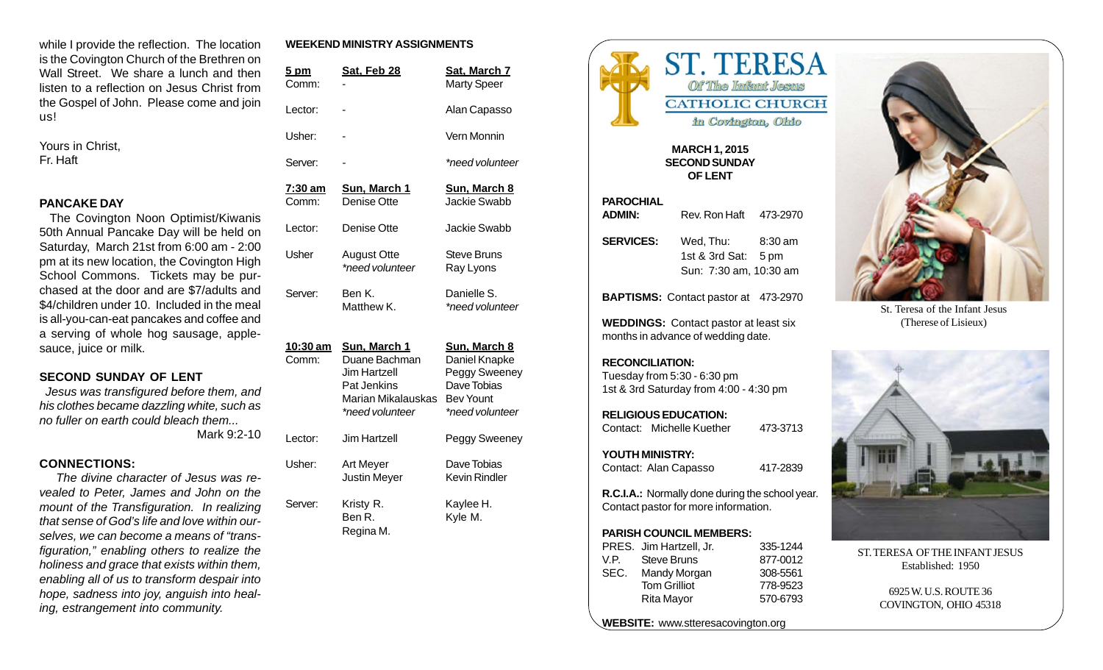while I provide the reflection. The location is the Covington Church of the Brethren on Wall Street. We share a lunch and then listen to a reflection on Jesus Christ from the Gospel of John. Please come and join us!

Yours in Christ, Fr. Haft

#### **PANCAKE DAY**

 The Covington Noon Optimist/Kiwanis 50th Annual Pancake Day will be held on Saturday, March 21st from 6:00 am - 2:00 pm at its new location, the Covington High School Commons. Tickets may be purchased at the door and are \$7/adults and \$4/children under 10. Included in the meal is all-you-can-eat pancakes and coffee and a serving of whole hog sausage, applesauce, juice or milk.

#### **SECOND SUNDAY OF LENT**

*Jesus was transfigured before them, and his clothes became dazzling white, such as no fuller on earth could bleach them...*

Mark 9:2-10

#### **CONNECTIONS:**

*The divine character of Jesus was revealed to Peter, James and John on the mount of the Transfiguration. In realizing that sense of God's life and love within ourselves, we can become a means of "transfiguration," enabling others to realize the holiness and grace that exists within them, enabling all of us to transform despair into hope, sadness into joy, anguish into healing, estrangement into community.*

#### **WEEKEND MINISTRY ASSIGNMENTS**

| <u>5 pm</u><br>Comm:     | <u>Sat, Feb 28</u>                                                                                    | <u>Sat, March 7</u><br><b>Marty Speer</b>                                                                   |
|--------------------------|-------------------------------------------------------------------------------------------------------|-------------------------------------------------------------------------------------------------------------|
| Lector:                  |                                                                                                       | Alan Capasso                                                                                                |
| Usher:                   |                                                                                                       | Vern Monnin                                                                                                 |
| Server:                  |                                                                                                       | *need volunteer                                                                                             |
| <u>7:30 am</u><br>Comm:  | <u>Sun, March 1</u><br>Denise Otte                                                                    | <b>Sun, March 8</b><br>Jackie Swabb                                                                         |
| Lector:                  | Denise Otte                                                                                           | Jackie Swabb                                                                                                |
| Usher                    | <b>August Otte</b><br>*need volunteer                                                                 | <b>Steve Bruns</b><br>Ray Lyons                                                                             |
| Server:                  | Ben K.<br>Matthew K.                                                                                  | Danielle S.<br>*need volunteer                                                                              |
| <u>10:30 am</u><br>Comm: | Sun, March 1<br>Duane Bachman<br>Jim Hartzell<br>Pat Jenkins<br>Marian Mikalauskas<br>*need volunteer | <u>Sun, March 8</u><br>Daniel Knapke<br>Peggy Sweeney<br>Dave Tobias<br><b>Bev Yount</b><br>*need volunteer |
| Lector:                  | Jim Hartzell                                                                                          | Peggy Sweeney                                                                                               |
| Usher:                   | <b>Art Meyer</b><br><b>Justin Meyer</b>                                                               | Dave Tobias<br><b>Kevin Rindler</b>                                                                         |
| Server:                  | Kristy R.<br>Ben R.<br>Regina M.                                                                      | Kaylee H.<br>Kyle M.                                                                                        |



#### **MARCH 1, 2015 SECOND SUNDAY OF LENT**

| <b>PAROCHIAL</b>                                                                                |                                               |          |  |  |
|-------------------------------------------------------------------------------------------------|-----------------------------------------------|----------|--|--|
| <b>ADMIN:</b>                                                                                   | Rev. Ron Haft 473-2970                        |          |  |  |
| <b>SERVICES:</b>                                                                                | Wed, Thu: 8:30 am                             |          |  |  |
|                                                                                                 | 1st & 3rd Sat: 5 pm<br>Sun: 7:30 am, 10:30 am |          |  |  |
|                                                                                                 | <b>BAPTISMS:</b> Contact pastor at 473-2970   |          |  |  |
| <b>WEDDINGS:</b> Contact pastor at least six<br>months in advance of wedding date.              |                                               |          |  |  |
| <b>RECONCILIATION:</b><br>Tuesday from 5:30 - 6:30 pm<br>1st & 3rd Saturday from 4:00 - 4:30 pm |                                               |          |  |  |
| <b>RELIGIOUS EDUCATION:</b><br>Contact: Michelle Kuether                                        |                                               | 473-3713 |  |  |
| <b>YOUTH MINISTRY:</b>                                                                          |                                               |          |  |  |
| Contact: Alan Capasso                                                                           |                                               | 417-2839 |  |  |
| R.C.I.A.: Normally done during the school year.<br>Contact pastor for more information.         |                                               |          |  |  |
| <b>PARISH COUNCIL MEMBERS:</b>                                                                  |                                               |          |  |  |
| PRES. Jim Hartzell, Jr.                                                                         |                                               | 335-1244 |  |  |
| V.P. Steve Bruns                                                                                |                                               | 877-0012 |  |  |
| SEC. Mandy Morgan                                                                               |                                               | 308-5561 |  |  |
| <b>Tom Grilliot</b>                                                                             |                                               | 778-9523 |  |  |

**WEBSITE:** www.stteresacovington.org

Rita Mayor 570-6793



St. Teresa of the Infant Jesus (Therese of Lisieux)



ST. TERESA OF THE INFANT JESUS Established: 1950

> 6925 W. U.S. ROUTE 36 COVINGTON, OHIO 45318